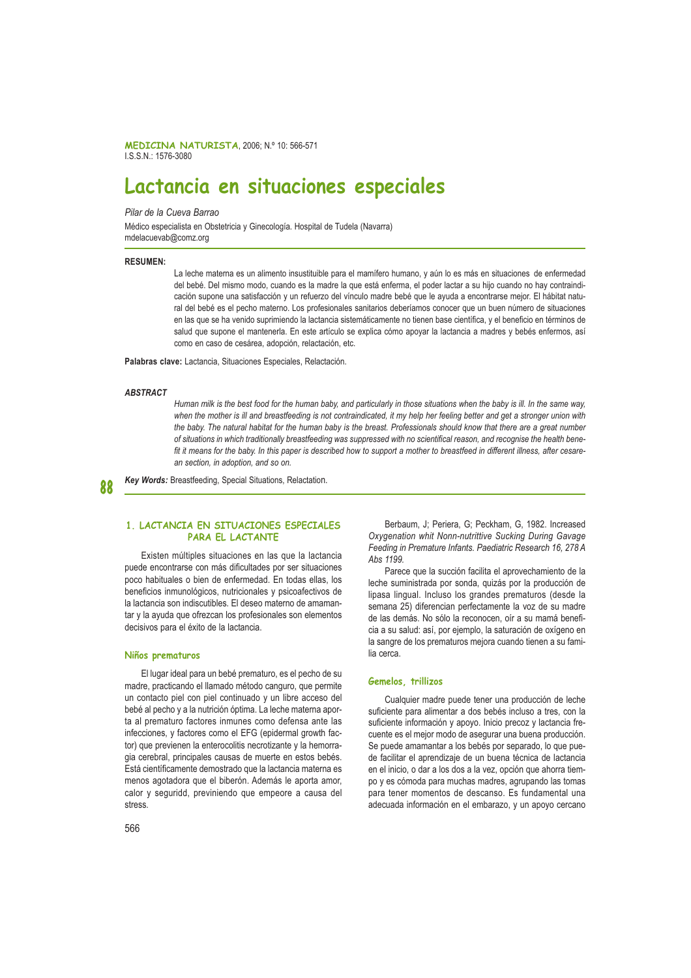MEDICINA NATURISTA, 2006; N.º 10: 566-571 ISSN 1576-3080

# Lactancia en situaciones especiales

Pilar de la Cueva Barrao

Médico especialista en Obstetricia y Ginecología. Hospital de Tudela (Navarra) mdelacuevab@comz.org

#### **RESUMEN-**

La leche materna es un alimento insustituible para el mamífero humano, y aún lo es más en situaciones de enfermedad del bebé. Del mismo modo, cuando es la madre la que está enferma, el poder lactar a su hijo cuando no hay contraindicación supone una satisfacción y un refuerzo del vínculo madre bebé que le ayuda a encontrarse mejor. El hábitat natural del bebé es el pecho materno. Los profesionales sanitarios deberíamos conocer que un buen número de situaciones en las que se ha venido suprimiendo la lactancia sistemáticamente no tienen base científica, y el beneficio en términos de salud que supone el mantenerla. En este artículo se explica cómo apoyar la lactancia a madres y bebés enfermos, así como en caso de cesárea, adopción, relactación, etc.

Palabras clave: Lactancia, Situaciones Especiales, Relactación.

#### **ARSTRACT**

Human milk is the best food for the human baby, and particularly in those situations when the baby is ill. In the same way, when the mother is ill and breastfeeding is not contraindicated, it my help her feeling better and get a stronger union with the baby. The natural habitat for the human baby is the breast. Professionals should know that there are a great number of situations in which traditionally breastfeeding was suppressed with no scientifical reason, and recognise the health benefit it means for the baby. In this paper is described how to support a mother to breastfeed in different illness, after cesarean section, in adoption, and so on.

Kev Words: Breastfeeding. Special Situations. Relactation.

#### $\Omega$

## 1. LACTANCIA EN SITUACIONES ESPECIALES **PARA EL LACTANTE**

Existen múltiples situaciones en las que la lactancia puede encontrarse con más dificultades por ser situaciones poco habituales o bien de enfermedad. En todas ellas, los beneficios inmunológicos, nutricionales y psicoafectivos de la lactancia son indiscutibles. El deseo materno de amamantar y la ayuda que ofrezcan los profesionales son elementos decisivos para el éxito de la lactancia.

## Niños prematuros

El lugar ideal para un bebé prematuro, es el pecho de su madre, practicando el llamado método canguro, que permite un contacto piel con piel continuado y un libre acceso del bebé al pecho y a la nutrición óptima. La leche materna aporta al prematuro factores inmunes como defensa ante las infecciones, y factores como el EFG (epidermal growth factor) que previenen la enterocolitis necrotizante y la hemorragia cerebral, principales causas de muerte en estos bebés. Está científicamente demostrado que la lactancia materna es menos agotadora que el biberón. Además le aporta amor, calor y seguridd, previniendo que empeore a causa del stress.

Berbaum, J; Periera, G; Peckham, G, 1982. Increased Oxygenation whit Nonn-nutrittive Sucking During Gavage Feeding in Premature Infants. Paediatric Research 16, 278 A Abs 1199.

Parece que la succión facilita el aprovechamiento de la leche suministrada por sonda, quizás por la producción de lipasa lingual. Incluso los grandes prematuros (desde la semana 25) diferencian perfectamente la voz de su madre de las demás. No sólo la reconocen, oír a su mamá beneficia a su salud: así, por ejemplo, la saturación de oxígeno en la sangre de los prematuros mejora cuando tienen a su fami- $\overline{\mathsf{I}}$ ia cerca

#### Gemelos, trillizos

Cualquier madre puede tener una producción de leche suficiente para alimentar a dos bebés incluso a tres, con la suficiente información y apoyo. Inicio precoz y lactancia frecuente es el meior modo de asegurar una buena producción. Se puede amamantar a los bebés por separado, lo que puede facilitar el aprendizaje de un buena técnica de lactancia en el inicio, o dar a los dos a la vez, opción que ahorra tiempo y es cómoda para muchas madres, agrupando las tomas para tener momentos de descanso. Es fundamental una adecuada información en el embarazo, y un apoyo cercano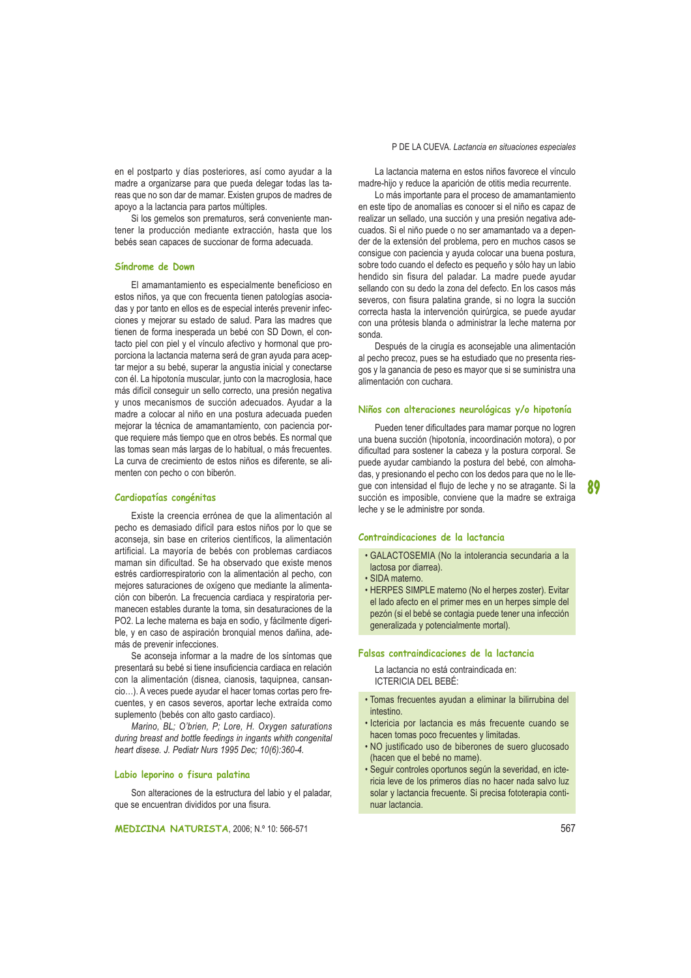en el postparto y días posteriores, así como ayudar a la madre a organizarse para que pueda delegar todas las tareas que no son dar de mamar. Existen grupos de madres de apoyo a la lactancia para partos múltiples.

Si los gemelos son prematuros, será conveniente mantener la producción mediante extracción, hasta que los bebés sean capaces de succionar de forma adecuada.

#### Síndrome de Down

El amamantamiento es especialmente beneficioso en estos niños, ya que con frecuenta tienen patologías asociadas y por tanto en ellos es de especial interés prevenir infecciones y mejorar su estado de salud. Para las madres que tienen de forma inesperada un bebé con SD Down, el contacto piel con piel y el vínculo afectivo y hormonal que proporciona la lactancia materna será de gran ayuda para aceptar mejor a su bebé, superar la angustia inicial y conectarse con él. La hipotonía muscular, junto con la macroglosia, hace más difícil conseguir un sello correcto, una presión negativa y unos mecanismos de succión adecuados. Ayudar a la madre a colocar al niño en una postura adecuada pueden mejorar la técnica de amamantamiento, con paciencia porque requiere más tiempo que en otros bebés. Es normal que las tomas sean más largas de lo habitual, o más frecuentes. La curva de crecimiento de estos niños es diferente, se alimenten con pecho o con biberón.

#### Cardiopatías congénitas

Existe la creencia errónea de que la alimentación al pecho es demasiado difícil para estos niños por lo que se aconseja, sin base en criterios científicos, la alimentación artificial. La mayoría de bebés con problemas cardiacos maman sin dificultad. Se ha observado que existe menos estrés cardiorrespiratorio con la alimentación al pecho, con mejores saturaciones de oxígeno que mediante la alimentación con biberón. La frecuencia cardiaca y respiratoria permanecen estables durante la toma, sin desaturaciones de la PO2. La leche materna es baja en sodio, y fácilmente digerible, y en caso de aspiración bronquial menos dañina, además de prevenir infecciones.

Se aconseia informar a la madre de los síntomas que presentará su bebé si tiene insuficiencia cardiaca en relación con la alimentación (disnea, cianosis, taquipnea, cansancio...). A veces puede ayudar el hacer tomas cortas pero frecuentes, y en casos severos, aportar leche extraída como suplemento (bebés con alto gasto cardiaco).

Marino, BL; O'brien, P; Lore, H. Oxygen saturations during breast and bottle feedings in ingants whith congenital heart disese. J. Pediatr Nurs 1995 Dec: 10(6):360-4.

#### Labio leporino o fisura palatina

Son alteraciones de la estructura del labio y el paladar. que se encuentran divididos por una fisura.

MEDICINA NATURISTA, 2006; N.º 10: 566-571

#### P DE LA CUEVA. Lactancia en situaciones especiales

La lactancia materna en estos niños favorece el vínculo madre-hijo y reduce la aparición de otitis media recurrente.

Lo más importante para el proceso de amamantamiento en este tipo de anomalías es conocer si el niño es capaz de realizar un sellado, una succión y una presión negativa adecuados. Si el niño puede o no ser amamantado va a depender de la extensión del problema, pero en muchos casos se consigue con paciencia y ayuda colocar una buena postura, sobre todo cuando el defecto es pequeño y sólo hay un labio hendido sin fisura del paladar. La madre puede ayudar sellando con su dedo la zona del defecto. En los casos más severos, con fisura palatina grande, si no logra la succión correcta hasta la intervención quirúrgica, se puede ayudar con una prótesis blanda o administrar la leche materna por sonda.

Después de la cirugía es aconsejable una alimentación al pecho precoz, pues se ha estudiado que no presenta riesgos y la ganancia de peso es mayor que si se suministra una alimentación con cuchara.

#### Niños con alteraciones neurológicas y/o hipotonía

Pueden tener dificultades para mamar porque no logren una buena succión (hipotonía, incoordinación motora), o por dificultad para sostener la cabeza y la postura corporal. Se puede ayudar cambiando la postura del bebé, con almohadas, y presionando el pecho con los dedos para que no le lleque con intensidad el flujo de leche y no se atragante. Si la succión es imposible, conviene que la madre se extraiga leche y se le administre por sonda.

#### Contraindicaciones de la lactancia

- · GALACTOSEMIA (No la intolerancia secundaria a la lactosa por diarrea).
- · SIDA materno.
- HERPES SIMPLE materno (No el herpes zoster). Evitar el lado afecto en el primer mes en un herpes simple del pezón (si el bebé se contagia puede tener una infección generalizada y potencialmente mortal).

#### Falsas contraindicaciones de la lactancia

La lactancia no está contraindicada en: **ICTERICIA DEL BEBÉ:** 

- · Tomas frecuentes ayudan a eliminar la bilirrubina del intestino.
- · Ictericia por lactancia es más frecuente cuando se hacen tomas poco frecuentes y limitadas.
- · NO justificado uso de biberones de suero glucosado (hacen que el bebé no mame).
- · Sequir controles oportunos según la severidad, en ictericia leve de los primeros días no hacer nada salvo luz solar y lactancia frecuente. Si precisa fototerapia continuar lactancia.

89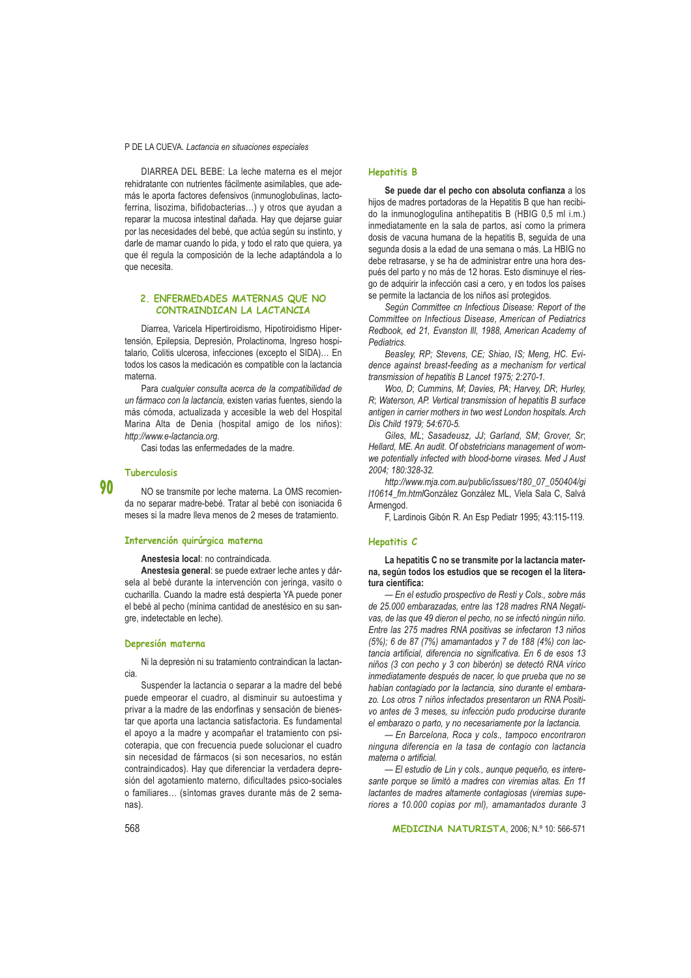#### P DE LA CUEVA. Lactancia en situaciones especiales

DIARREA DEL BEBE: La leche materna es el mejor rehidratante con nutrientes fácilmente asimilables, que además le aporta factores defensivos (inmunoglobulinas, lactoferrina, lisozima, bifidobacterias...) y otros que ayudan a reparar la mucosa intestinal dañada. Hay que dejarse guiar por las necesidades del bebé, que actúa según su instinto, y darle de mamar cuando lo pida, y todo el rato que quiera, ya que él regula la composición de la leche adaptándola a lo que necesita.

## 2. ENFERMEDADES MATERNAS QUE NO CONTRAINDICAN LA LACTANCIA

Diarrea, Varicela Hipertiroidismo, Hipotiroidismo Hipertensión. Epilepsia. Depresión. Prolactinoma. Ingreso hospitalario. Colitis ulcerosa, infecciones (excepto el SIDA)... En todos los casos la medicación es compatible con la lactancia materna

Para cualquier consulta acerca de la compatibilidad de un fármaco con la lactancia, existen varias fuentes, siendo la más cómoda, actualizada y accesible la web del Hospital Marina Alta de Denia (hospital amigo de los niños): http://www.e-lactancia.org.

Casi todas las enfermedades de la madre.

#### Tuberculosis

90

NO se transmite por leche materna. La OMS recomienda no separar madre-bebé. Tratar al bebé con isoniacida 6 meses si la madre lleva menos de 2 meses de tratamiento.

#### Intervención quirúrgica materna

Anestesia local: no contraindicada.

Anestesia general: se puede extraer leche antes y dársela al bebé durante la intervención con jeringa, vasito o cucharilla. Cuando la madre está despierta YA puede poner el bebé al pecho (mínima cantidad de anestésico en su sangre, indetectable en leche).

#### Depresión materna

Ni la depresión ni su tratamiento contraindican la lactancia

Suspender la lactancia o separar a la madre del bebé puede empeorar el cuadro, al disminuir su autoestima y privar a la madre de las endorfinas y sensación de bienestar que aporta una lactancia satisfactoria. Es fundamental el apoyo a la madre y acompañar el tratamiento con psicoterapia, que con frecuencia puede solucionar el cuadro sin necesidad de fármacos (si son necesarios, no están contraindicados). Hay que diferenciar la verdadera depresión del agotamiento materno, dificultades psico-sociales o familiares... (síntomas graves durante más de 2 semanas).

#### **Hepatitis B**

Se puede dar el pecho con absoluta confianza a los hijos de madres portadoras de la Hepatitis B que han recibido la inmunoglogulina antihepatitis B (HBIG 0,5 ml i.m.) inmediatamente en la sala de partos, así como la primera dosis de vacuna humana de la hepatitis B, seguida de una segunda dosis a la edad de una semana o más. La HBIG no debe retrasarse, y se ha de administrar entre una hora después del parto y no más de 12 horas. Esto disminuye el riesgo de adquirir la infección casi a cero, y en todos los países se permite la lactancia de los niños así protegidos.

Según Committee cn Infectious Disease: Report of the Committee on Infectious Disease, American of Pediatrics Redbook, ed 21, Evanston III, 1988, American Academy of **Pediatrics** 

Beasley, RP; Stevens, CE; Shiao, IS; Meng, HC. Evidence against breast-feeding as a mechanism for vertical transmission of hepatitis B Lancet 1975; 2:270-1.

Woo, D; Cummins, M; Davies, PA; Harvey, DR; Hurley, R; Waterson, AP. Vertical transmission of hepatitis B surface antigen in carrier mothers in two west London hospitals. Arch Dis Child 1979; 54:670-5.

Giles, ML; Sasadeusz, JJ; Garland, SM; Grover, Sr; Hellard, ME. An audit. Of obstetricians management of womwe potentially infected with blood-borne virases. Med J Aust 2004: 180:328-32.

http://www.mia.com.au/public/issues/180\_07\_050404/gi 110614\_fm.htmlGonzález González ML, Viela Sala C, Salvá Armengod

F, Lardinois Gibón R. An Esp Pediatr 1995; 43:115-119.

#### Hepatitis C

La hepatitis C no se transmite por la lactancia materna, según todos los estudios que se recogen el la literatura científica:

- En el estudio prospectivo de Resti y Cols., sobre más de 25.000 embarazadas, entre las 128 madres RNA Negativas, de las que 49 dieron el pecho, no se infectó ningún niño. Entre las 275 madres RNA positivas se infectaron 13 niños (5%); 6 de 87 (7%) amamantados y 7 de 188 (4%) con lactancia artificial, diferencia no significativa. En 6 de esos 13 niños (3 con pecho y 3 con biberón) se detectó RNA vírico inmediatamente después de nacer, lo que prueba que no se habían contagiado por la lactancia, sino durante el embarazo. Los otros 7 niños infectados presentaron un RNA Positivo antes de 3 meses, su infección pudo producirse durante el embarazo o parto, y no necesariamente por la lactancia.

- En Barcelona, Roca y cols., tampoco encontraron ninguna diferencia en la tasa de contagio con lactancia materna o artificial.

- El estudio de Lin y cols., aunque pequeño, es interesante porque se limitó a madres con viremias altas. En 11 lactantes de madres altamente contagiosas (viremias superiores a 10.000 copias por ml), amamantados durante 3

MEDICINA NATURISTA, 2006; N.º 10: 566-571

568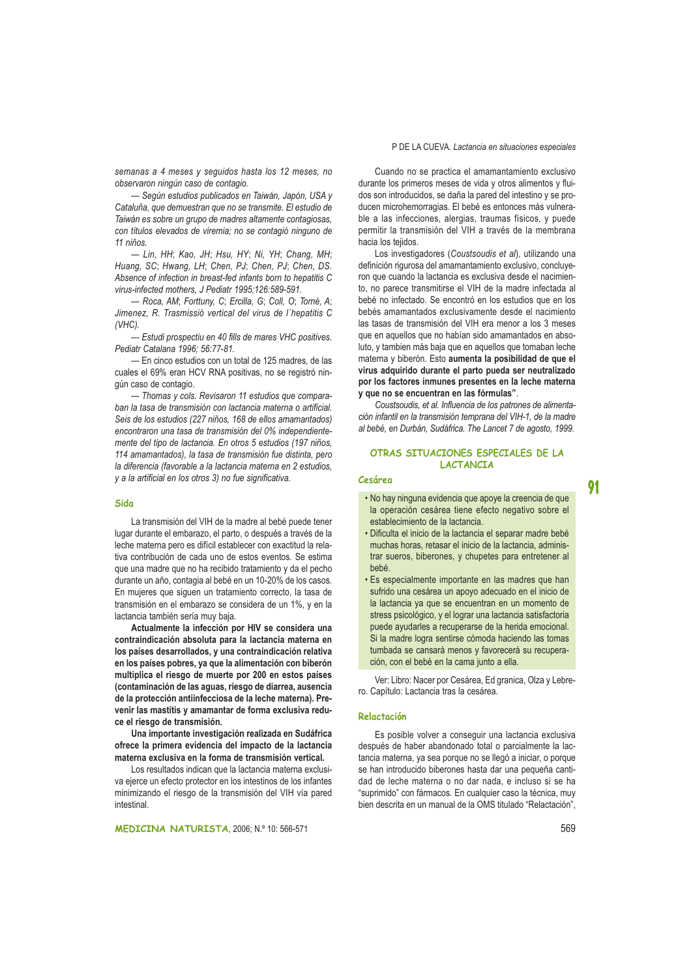semanas a 4 meses y seguidos hasta los 12 meses, no observaron ningún caso de contagio.

- Según estudios publicados en Taiwán, Japón, USA y Cataluña, que demuestran que no se transmite. El estudio de Taiwán es sobre un grupo de madres altamente contagiosas. con títulos elevados de viremia; no se contagió ninguno de 11 niños.

- Lin, HH; Kao, JH; Hsu, HY; Ni, YH; Chang, MH; Huang, SC; Hwang, LH; Chen, PJ; Chen, PJ; Chen, DS. Absence of infection in breast-fed infants born to hepatitis C virus-infected mothers, J Pediatr 1995;126:589-591.

- Roca, AM; Forttuny, C; Ercilla, G; Coll, O; Torné, A; Jimenez. R. Trasmissió vertical del virus de l'hepatitis C  $(VHC)$ .

.<br>- Estudi prospectiu en 40 fills de mares VHC positives. Pediatr Catalana 1996: 56:77-81.

- En cinco estudios con un total de 125 madres, de las cuales el 69% eran HCV RNA positivas, no se registró ninqún caso de contagio.

- Thomas y cols. Revisaron 11 estudios que comparaban la tasa de transmisión con lactancia materna o artificial. Seis de los estudios (227 niños, 168 de ellos amamantados) encontraron una tasa de transmisión del 0% independientemente del tipo de lactancia. En otros 5 estudios (197 niños, 114 amamantados), la tasa de transmisión fue distinta, pero la diferencia (favorable a la lactancia materna en 2 estudios. v a la artificial en los otros 3) no fue significativa.

#### Sido

La transmisión del VIH de la madre al bebé puede tener lugar durante el embarazo, el parto, o después a través de la leche materna pero es difícil establecer con exactitud la relativa contribución de cada uno de estos eventos. Se estima que una madre que no ha recibido tratamiento y da el pecho durante un año, contagia al bebé en un 10-20% de los casos. En mujeres que siguen un tratamiento correcto, la tasa de transmisión en el embarazo se considera de un 1%, y en la lactancia también sería muy baja.

Actualmente la infección por HIV se considera una contraindicación absoluta para la lactancia materna en los países desarrollados, y una contraindicación relativa en los países pobres, ya que la alimentación con biberón multiplica el riesgo de muerte por 200 en estos países (contaminación de las aguas, riesgo de diarrea, ausencia de la protección antiinfecciosa de la leche materna). Prevenir las mastitis y amamantar de forma exclusiva reduce el riesgo de transmisión.

Una importante investigación realizada en Sudáfrica ofrece la primera evidencia del impacto de la lactancia materna exclusiva en la forma de transmisión vertical.

Los resultados indican que la lactancia materna exclusiva ejerce un efecto protector en los intestinos de los infantes minimizando el riesgo de la transmisión del VIH vía pared intestinal.

Cuando no se practica el amamantamiento exclusivo durante los primeros meses de vida y otros alimentos y fluidos son introducidos, se daña la pared del intestino y se producen microhemorragias. El bebé es entonces más vulnerable a las infecciones, alergias, traumas físicos, y puede permitir la transmisión del VIH a través de la membrana hacia los telidos.

Los investigadores (Coustsoudis et al), utilizando una definición rigurosa del amamantamiento exclusivo, concluveron que cuando la lactancia es exclusiva desde el nacimiento, no parece transmitirse el VIH de la madre infectada al bebé no infectado. Se encontró en los estudios que en los bebés amamantados exclusivamente desde el nacimiento las tasas de transmisión del VIH era menor a los 3 meses que en aquellos que no habían sido amamantados en absoluto, y tambien más baja que en aquellos que tomaban leche materna y biberón. Esto aumenta la posibilidad de que el virus adquirido durante el parto pueda ser neutralizado por los factores inmunes presentes en la leche materna y que no se encuentran en las fórmulas".

Coustsoudis, et al. Influencia de los patrones de alimentación infantil en la transmisión temprana del VIH-1, de la madre al bebé, en Durbán, Sudáfrica. The Lancet 7 de agosto, 1999.

## OTRAS SITUACIONES ESPECIALES DE LA **LACTANCTA**

# Cesárea

- · No hay ninguna evidencia que apoye la creencia de que la operación cesárea tiene efecto negativo sobre el establecimiento de la lactancia.
- · Dificulta el inicio de la lactancia el separar madre bebé muchas horas, retasar el inicio de la lactancia, administrar sueros, biberones, y chupetes para entretener al **bebé**
- · Es especialmente importante en las madres que han sufrido una cesárea un apoyo adecuado en el inicio de la lactancia ya que se encuentran en un momento de stress psicológico, y el lograr una lactancia satisfactoria puede avudarles a recuperarse de la herida emocional. Si la madre logra sentirse cómoda haciendo las tomas tumbada se cansará menos y favorecerá su recuperación, con el bebé en la cama junto a ella.

Ver: Libro: Nacer por Cesárea, Ed granica, Olza y Lebrero. Capítulo: Lactancia tras la cesárea.

#### Relactación

Es posible volver a conseguir una lactancia exclusiva después de haber abandonado total o parcialmente la lactancia materna, ya sea porque no se llegó a iniciar, o porque se han introducido biberones hasta dar una pequeña cantidad de leche materna o no dar nada, e incluso si se ha "suprimido" con fármacos. En cualquier caso la técnica, muy bien descrita en un manual de la OMS titulado "Relactación",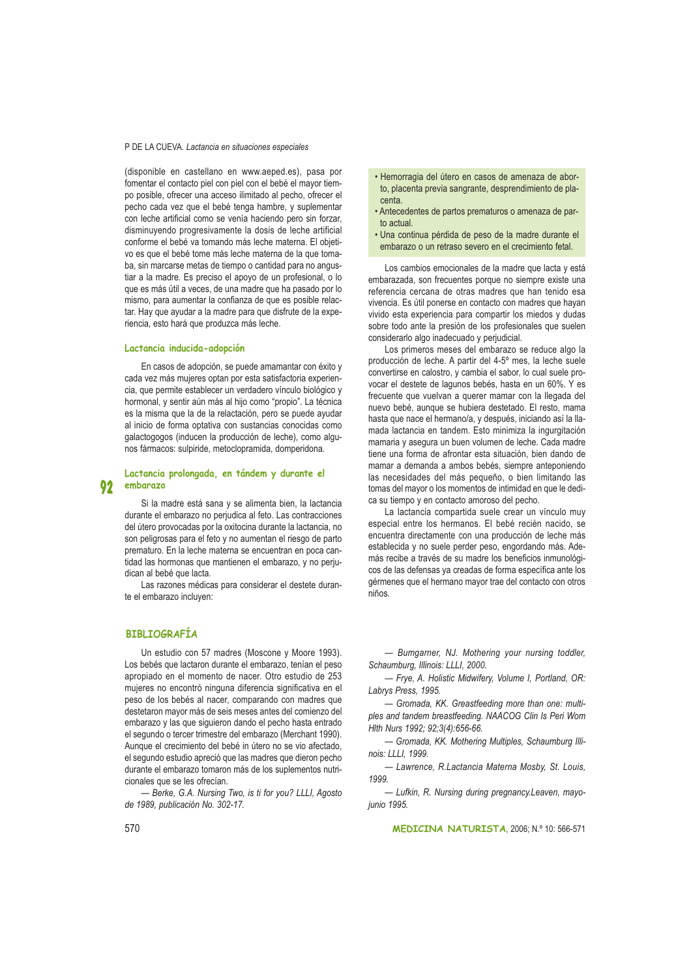#### P DE LA CUEVA. Lactancia en situaciones especiales

(disponible en castellano en www.aeped.es), pasa por fomentar el contacto piel con piel con el bebé el mayor tiempo posible, ofrecer una acceso ilimitado al pecho, ofrecer el pecho cada vez que el bebé tenga hambre, y suplementar con leche artificial como se venía haciendo pero sin forzar, disminuyendo progresivamente la dosis de leche artificial conforme el bebé va tomando más leche materna. El obietivo es que el bebé tome más leche materna de la que tomaba, sin marcarse metas de tiempo o cantidad para no angustiar a la madre. Es preciso el apoyo de un profesional, o lo que es más útil a veces, de una madre que ha pasado por lo mismo, para aumentar la confianza de que es posible relactar. Hay que ayudar a la madre para que disfrute de la experiencia, esto hará que produzca más leche.

### Lactancia inducida-adopción

En casos de adopción, se puede amamantar con éxito y cada vez más muieres optan por esta satisfactoria experiencia, que permite establecer un verdadero vínculo biológico y hormonal, y sentir aún más al hijo como "propio". La técnica es la misma que la de la relactación, pero se puede ayudar al inicio de forma optativa con sustancias conocidas como galactogogos (inducen la producción de leche), como algunos fármacos: sulpiride, metoclopramida, domperidona.

#### Lactancia prolongada, en tándem y durante el  $\mathbf{Q}$ embarazo

Si la madre está sana y se alimenta bien, la lactancia durante el embarazo no perjudica al feto. Las contracciones del útero provocadas por la oxitocina durante la lactancia, no son peligrosas para el feto y no aumentan el riesgo de parto prematuro. En la leche materna se encuentran en poca cantidad las hormonas que mantienen el embarazo, y no perjudican al bebé que lacta.

Las razones médicas para considerar el destete durante el embarazo incluven:

# **BIBLIOGRAFÍA**

Un estudio con 57 madres (Moscone y Moore 1993). Los bebés que lactaron durante el embarazo, tenían el peso apropiado en el momento de nacer. Otro estudio de 253 mujeres no encontró ninguna diferencia significativa en el peso de los bebés al nacer, comparando con madres que destetaron mayor más de seis meses antes del comienzo del embarazo y las que siguieron dando el pecho hasta entrado el segundo o tercer trimestre del embarazo (Merchant 1990). Aunque el crecimiento del bebé in útero no se vio afectado, el segundo estudio apreció que las madres que dieron pecho durante el embarazo tomaron más de los suplementos nutricionales que se les ofrecían.

- Berke, G.A. Nursing Two, is ti for you? LLLI, Agosto de 1989, publicación No. 302-17.

- · Hemorragia del útero en casos de amenaza de aborto, placenta previa sangrante, desprendimiento de placenta.
- Antecedentes de partos prematuros o amenaza de parto actual
- · Una continua pérdida de peso de la madre durante el embarazo o un retraso severo en el crecimiento fetal.

Los cambios emocionales de la madre que lacta y está embarazada, son frecuentes porque no siempre existe una referencia cercana de otras madres que han tenido esa vivencia. Es útil ponerse en contacto con madres que hayan vivido esta experiencia para compartir los miedos y dudas sobre todo ante la presión de los profesionales que suelen considerarlo algo inadecuado y perjudicial.

Los primeros meses del embarazo se reduce algo la producción de leche. A partir del 4-5° mes, la leche suele convertirse en calostro, y cambia el sabor, lo cual suele provocar el destete de lagunos bebés, hasta en un 60%. Y es frecuente que vuelvan a querer mamar con la llegada del nuevo bebé, aunque se hubiera destetado. El resto, mama hasta que nace el hermano/a, y después, iniciando así la llamada lactancia en tandem. Esto minimiza la ingurgitación mamaria y asegura un buen volumen de leche. Cada madre tiene una forma de afrontar esta situación, bien dando de mamar a demanda a ambos bebés, siempre anteponiendo las necesidades del más pequeño, o bien limitando las tomas del mayor o los momentos de intimidad en que le dedica su tiempo y en contacto amoroso del pecho.

La lactancia compartida suele crear un vínculo muy especial entre los hermanos. El bebé recién nacido, se encuentra directamente con una producción de leche más establecida y no suele perder peso, engordando más. Además recibe a través de su madre los beneficios inmunológicos de las defensas ya creadas de forma específica ante los gérmenes que el hermano mayor trae del contacto con otros niños.

- Bumgarner, NJ. Mothering your nursing toddler, Schaumburg, Illinois: LLLI, 2000.

- Frye, A. Holistic Midwifery, Volume I, Portland, OR: Labrys Press, 1995.

- Gromada, KK. Greastfeeding more than one: multiples and tandem breastfeeding. NAACOG Clin Is Peri Wom Hlth Nurs 1992; 92;3(4):656-66.

- Gromada, KK. Mothering Multiples, Schaumburg Illinois: LLLI, 1999.

- Lawrence, R.Lactancia Materna Mosby, St. Louis, 1999.

- Lufkin, R. Nursing during pregnancy.Leaven, mayojunio 1995.

MEDICINA NATURISTA, 2006; N.º 10: 566-571